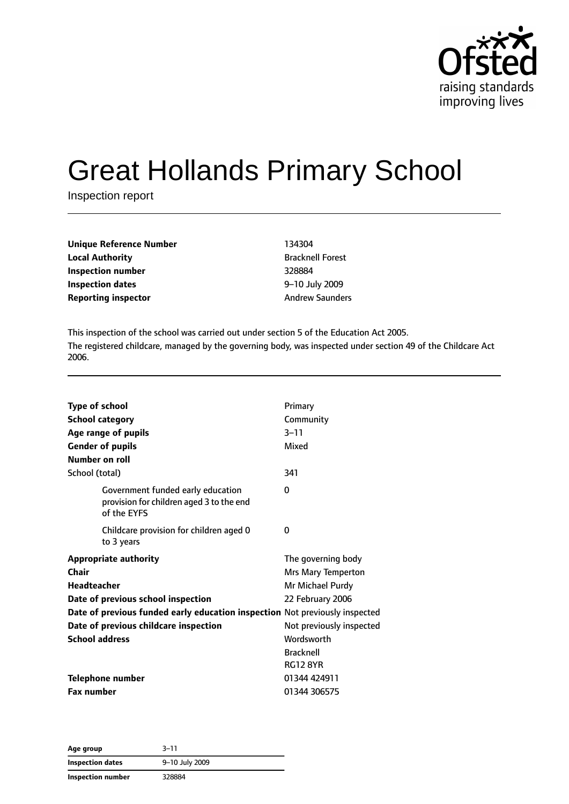

# Great Hollands Primary School

Inspection report

| 134304                  |
|-------------------------|
| <b>Bracknell Forest</b> |
| 328884                  |
| 9-10 July 2009          |
| <b>Andrew Saunders</b>  |
|                         |

This inspection of the school was carried out under section 5 of the Education Act 2005. The registered childcare, managed by the governing body, was inspected under section 49 of the Childcare Act 2006.

| <b>Type of school</b><br><b>School category</b>                                                                                                                                  | Primary<br>Community<br>$3 - 11$                                                 |
|----------------------------------------------------------------------------------------------------------------------------------------------------------------------------------|----------------------------------------------------------------------------------|
| Age range of pupils<br><b>Gender of pupils</b><br>Number on roll                                                                                                                 | Mixed                                                                            |
| School (total)                                                                                                                                                                   | 341                                                                              |
| Government funded early education<br>provision for children aged 3 to the end<br>of the EYFS                                                                                     | 0                                                                                |
| Childcare provision for children aged 0<br>to 3 years                                                                                                                            | 0                                                                                |
| <b>Appropriate authority</b><br>Chair<br><b>Headteacher</b><br>Date of previous school inspection<br>Date of previous funded early education inspection Not previously inspected | The governing body<br>Mrs Mary Temperton<br>Mr Michael Purdy<br>22 February 2006 |
| Date of previous childcare inspection                                                                                                                                            | Not previously inspected                                                         |
| <b>School address</b>                                                                                                                                                            | Wordsworth<br><b>Bracknell</b><br><b>RG12 8YR</b>                                |
| <b>Telephone number</b>                                                                                                                                                          | 01344 424911                                                                     |
| <b>Fax number</b>                                                                                                                                                                | 01344 306575                                                                     |

**Age group** 3–11 **Inspection dates** 9–10 July 2009 **Inspection number** 328884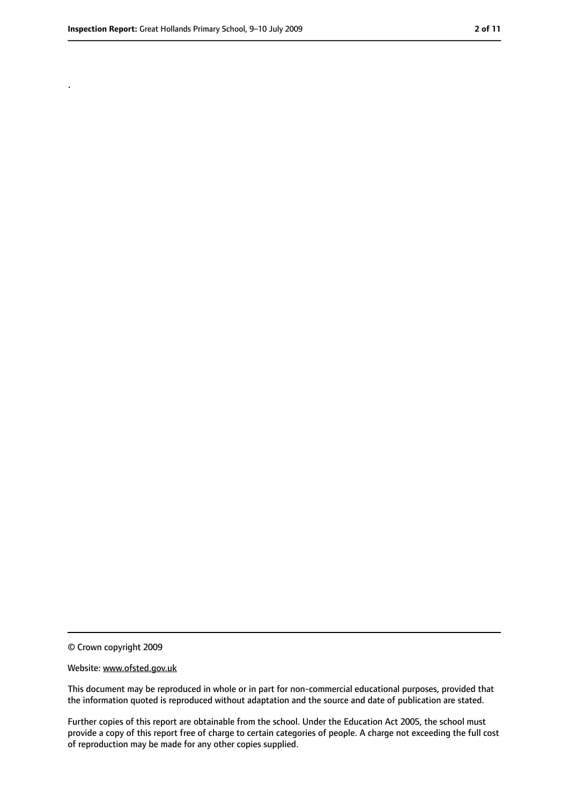.

<sup>©</sup> Crown copyright 2009

Website: www.ofsted.gov.uk

This document may be reproduced in whole or in part for non-commercial educational purposes, provided that the information quoted is reproduced without adaptation and the source and date of publication are stated.

Further copies of this report are obtainable from the school. Under the Education Act 2005, the school must provide a copy of this report free of charge to certain categories of people. A charge not exceeding the full cost of reproduction may be made for any other copies supplied.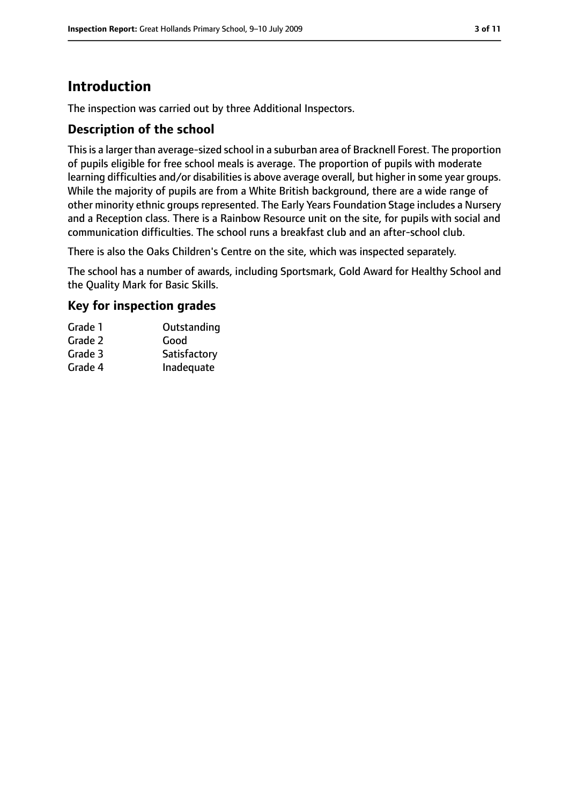## **Introduction**

The inspection was carried out by three Additional Inspectors.

#### **Description of the school**

Thisis a larger than average-sized school in a suburban area of Bracknell Forest. The proportion of pupils eligible for free school meals is average. The proportion of pupils with moderate learning difficulties and/or disabilities is above average overall, but higher in some year groups. While the majority of pupils are from a White British background, there are a wide range of other minority ethnic groups represented. The Early Years Foundation Stage includes a Nursery and a Reception class. There is a Rainbow Resource unit on the site, for pupils with social and communication difficulties. The school runs a breakfast club and an after-school club.

There is also the Oaks Children's Centre on the site, which was inspected separately.

The school has a number of awards, including Sportsmark, Gold Award for Healthy School and the Quality Mark for Basic Skills.

#### **Key for inspection grades**

| Grade 1 | Outstanding  |
|---------|--------------|
| Grade 2 | Good         |
| Grade 3 | Satisfactory |
| Grade 4 | Inadequate   |
|         |              |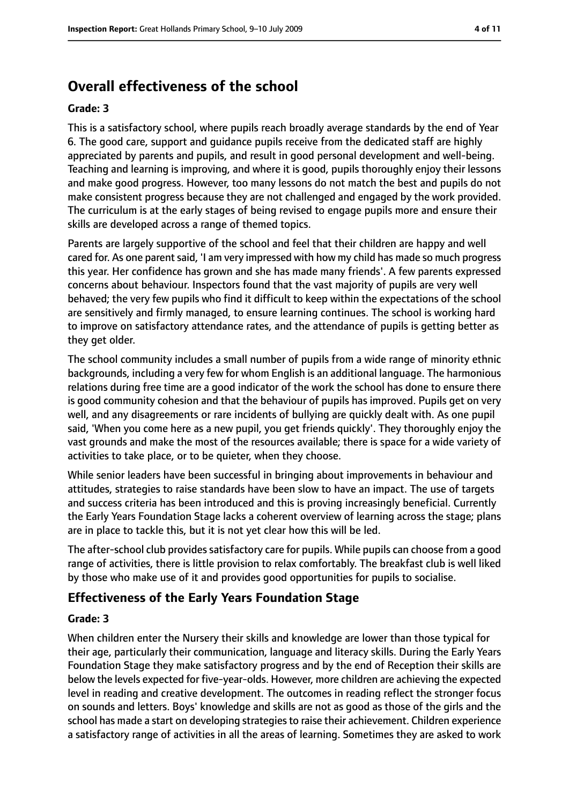# **Overall effectiveness of the school**

#### **Grade: 3**

This is a satisfactory school, where pupils reach broadly average standards by the end of Year 6. The good care, support and guidance pupils receive from the dedicated staff are highly appreciated by parents and pupils, and result in good personal development and well-being. Teaching and learning is improving, and where it is good, pupils thoroughly enjoy their lessons and make good progress. However, too many lessons do not match the best and pupils do not make consistent progress because they are not challenged and engaged by the work provided. The curriculum is at the early stages of being revised to engage pupils more and ensure their skills are developed across a range of themed topics.

Parents are largely supportive of the school and feel that their children are happy and well cared for. As one parent said, 'I am very impressed with how my child has made so much progress this year. Her confidence has grown and she has made many friends'. A few parents expressed concerns about behaviour. Inspectors found that the vast majority of pupils are very well behaved; the very few pupils who find it difficult to keep within the expectations of the school are sensitively and firmly managed, to ensure learning continues. The school is working hard to improve on satisfactory attendance rates, and the attendance of pupils is getting better as they get older.

The school community includes a small number of pupils from a wide range of minority ethnic backgrounds, including a very few for whom English is an additional language. The harmonious relations during free time are a good indicator of the work the school has done to ensure there is good community cohesion and that the behaviour of pupils has improved. Pupils get on very well, and any disagreements or rare incidents of bullying are quickly dealt with. As one pupil said, 'When you come here as a new pupil, you get friends quickly'. They thoroughly enjoy the vast grounds and make the most of the resources available; there is space for a wide variety of activities to take place, or to be quieter, when they choose.

While senior leaders have been successful in bringing about improvements in behaviour and attitudes, strategies to raise standards have been slow to have an impact. The use of targets and success criteria has been introduced and this is proving increasingly beneficial. Currently the Early Years Foundation Stage lacks a coherent overview of learning across the stage; plans are in place to tackle this, but it is not yet clear how this will be led.

The after-school club provides satisfactory care for pupils. While pupils can choose from a good range of activities, there is little provision to relax comfortably. The breakfast club is well liked by those who make use of it and provides good opportunities for pupils to socialise.

#### **Effectiveness of the Early Years Foundation Stage**

#### **Grade: 3**

When children enter the Nursery their skills and knowledge are lower than those typical for their age, particularly their communication, language and literacy skills. During the Early Years Foundation Stage they make satisfactory progress and by the end of Reception their skills are below the levels expected for five-year-olds. However, more children are achieving the expected level in reading and creative development. The outcomes in reading reflect the stronger focus on sounds and letters. Boys' knowledge and skills are not as good as those of the girls and the school has made a start on developing strategies to raise their achievement. Children experience a satisfactory range of activities in all the areas of learning. Sometimes they are asked to work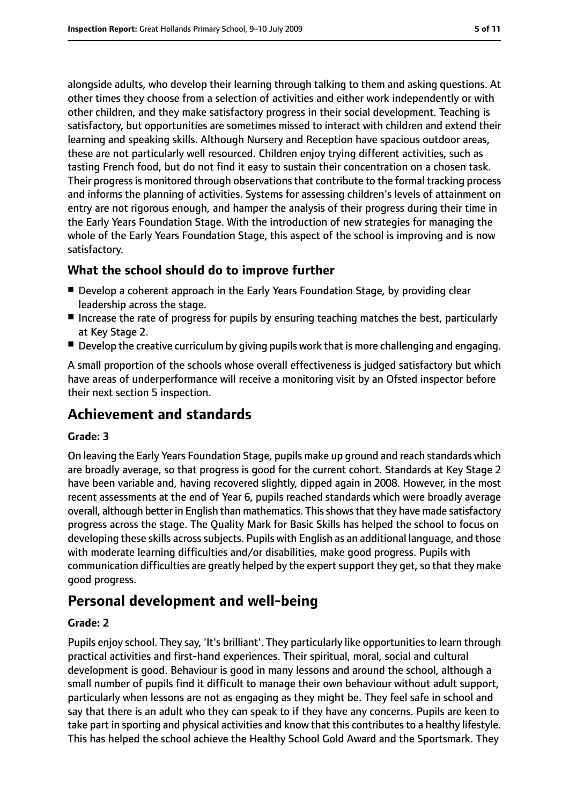alongside adults, who develop their learning through talking to them and asking questions. At other times they choose from a selection of activities and either work independently or with other children, and they make satisfactory progress in their social development. Teaching is satisfactory, but opportunities are sometimes missed to interact with children and extend their learning and speaking skills. Although Nursery and Reception have spacious outdoor areas, these are not particularly well resourced. Children enjoy trying different activities, such as tasting French food, but do not find it easy to sustain their concentration on a chosen task. Their progress is monitored through observations that contribute to the formal tracking process and informs the planning of activities. Systems for assessing children's levels of attainment on entry are not rigorous enough, and hamper the analysis of their progress during their time in the Early Years Foundation Stage. With the introduction of new strategies for managing the whole of the Early Years Foundation Stage, this aspect of the school is improving and is now satisfactory.

#### **What the school should do to improve further**

- Develop a coherent approach in the Early Years Foundation Stage, by providing clear leadership across the stage.
- Increase the rate of progress for pupils by ensuring teaching matches the best, particularly at Key Stage 2.
- Develop the creative curriculum by giving pupils work that is more challenging and engaging.

A small proportion of the schools whose overall effectiveness is judged satisfactory but which have areas of underperformance will receive a monitoring visit by an Ofsted inspector before their next section 5 inspection.

# **Achievement and standards**

#### **Grade: 3**

On leaving the Early Years Foundation Stage, pupils make up ground and reach standards which are broadly average, so that progress is good for the current cohort. Standards at Key Stage 2 have been variable and, having recovered slightly, dipped again in 2008. However, in the most recent assessments at the end of Year 6, pupils reached standards which were broadly average overall, although better in English than mathematics. Thisshowsthat they have made satisfactory progress across the stage. The Quality Mark for Basic Skills has helped the school to focus on developing these skills acrosssubjects. Pupils with English as an additional language, and those with moderate learning difficulties and/or disabilities, make good progress. Pupils with communication difficulties are greatly helped by the expert support they get, so that they make good progress.

## **Personal development and well-being**

#### **Grade: 2**

Pupils enjoy school. They say, 'It's brilliant'. They particularly like opportunities to learn through practical activities and first-hand experiences. Their spiritual, moral, social and cultural development is good. Behaviour is good in many lessons and around the school, although a small number of pupils find it difficult to manage their own behaviour without adult support, particularly when lessons are not as engaging as they might be. They feel safe in school and say that there is an adult who they can speak to if they have any concerns. Pupils are keen to take part in sporting and physical activities and know that this contributes to a healthy lifestyle. This has helped the school achieve the Healthy School Gold Award and the Sportsmark. They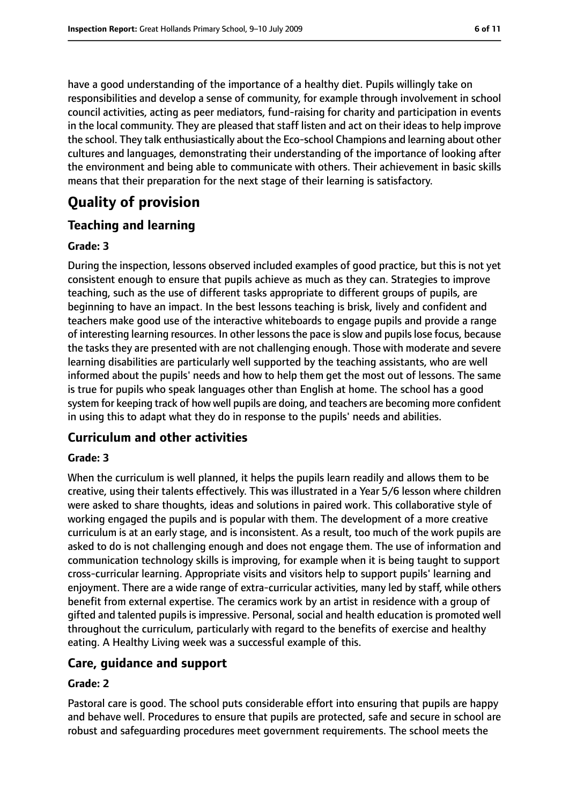have a good understanding of the importance of a healthy diet. Pupils willingly take on responsibilities and develop a sense of community, for example through involvement in school council activities, acting as peer mediators, fund-raising for charity and participation in events in the local community. They are pleased that staff listen and act on their ideas to help improve the school. They talk enthusiastically about the Eco-school Champions and learning about other cultures and languages, demonstrating their understanding of the importance of looking after the environment and being able to communicate with others. Their achievement in basic skills means that their preparation for the next stage of their learning is satisfactory.

## **Quality of provision**

#### **Teaching and learning**

#### **Grade: 3**

During the inspection, lessons observed included examples of good practice, but this is not yet consistent enough to ensure that pupils achieve as much as they can. Strategies to improve teaching, such as the use of different tasks appropriate to different groups of pupils, are beginning to have an impact. In the best lessons teaching is brisk, lively and confident and teachers make good use of the interactive whiteboards to engage pupils and provide a range of interesting learning resources. In other lessonsthe pace isslow and pupilslose focus, because the tasks they are presented with are not challenging enough. Those with moderate and severe learning disabilities are particularly well supported by the teaching assistants, who are well informed about the pupils' needs and how to help them get the most out of lessons. The same is true for pupils who speak languages other than English at home. The school has a good system for keeping track of how well pupils are doing, and teachers are becoming more confident in using this to adapt what they do in response to the pupils' needs and abilities.

#### **Curriculum and other activities**

#### **Grade: 3**

When the curriculum is well planned, it helps the pupils learn readily and allows them to be creative, using their talents effectively. This was illustrated in a Year 5/6 lesson where children were asked to share thoughts, ideas and solutions in paired work. This collaborative style of working engaged the pupils and is popular with them. The development of a more creative curriculum is at an early stage, and is inconsistent. As a result, too much of the work pupils are asked to do is not challenging enough and does not engage them. The use of information and communication technology skills is improving, for example when it is being taught to support cross-curricular learning. Appropriate visits and visitors help to support pupils' learning and enjoyment. There are a wide range of extra-curricular activities, many led by staff, while others benefit from external expertise. The ceramics work by an artist in residence with a group of gifted and talented pupils is impressive. Personal, social and health education is promoted well throughout the curriculum, particularly with regard to the benefits of exercise and healthy eating. A Healthy Living week was a successful example of this.

#### **Care, guidance and support**

#### **Grade: 2**

Pastoral care is good. The school puts considerable effort into ensuring that pupils are happy and behave well. Procedures to ensure that pupils are protected, safe and secure in school are robust and safeguarding procedures meet government requirements. The school meets the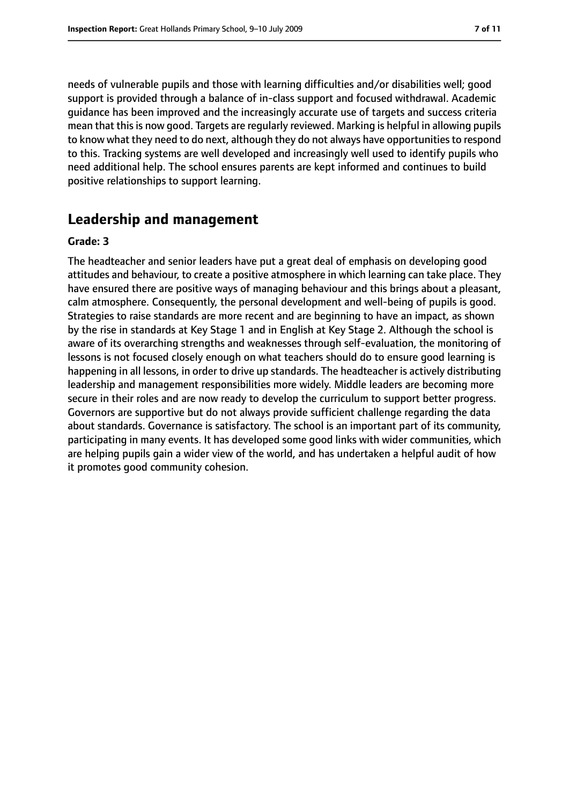needs of vulnerable pupils and those with learning difficulties and/or disabilities well; good support is provided through a balance of in-class support and focused withdrawal. Academic guidance has been improved and the increasingly accurate use of targets and success criteria mean that this is now good. Targets are regularly reviewed. Marking is helpful in allowing pupils to know what they need to do next, although they do not always have opportunities to respond to this. Tracking systems are well developed and increasingly well used to identify pupils who need additional help. The school ensures parents are kept informed and continues to build positive relationships to support learning.

## **Leadership and management**

#### **Grade: 3**

The headteacher and senior leaders have put a great deal of emphasis on developing good attitudes and behaviour, to create a positive atmosphere in which learning can take place. They have ensured there are positive ways of managing behaviour and this brings about a pleasant, calm atmosphere. Consequently, the personal development and well-being of pupils is good. Strategies to raise standards are more recent and are beginning to have an impact, as shown by the rise in standards at Key Stage 1 and in English at Key Stage 2. Although the school is aware of its overarching strengths and weaknesses through self-evaluation, the monitoring of lessons is not focused closely enough on what teachers should do to ensure good learning is happening in all lessons, in order to drive up standards. The headteacher is actively distributing leadership and management responsibilities more widely. Middle leaders are becoming more secure in their roles and are now ready to develop the curriculum to support better progress. Governors are supportive but do not always provide sufficient challenge regarding the data about standards. Governance is satisfactory. The school is an important part of its community, participating in many events. It has developed some good links with wider communities, which are helping pupils gain a wider view of the world, and has undertaken a helpful audit of how it promotes good community cohesion.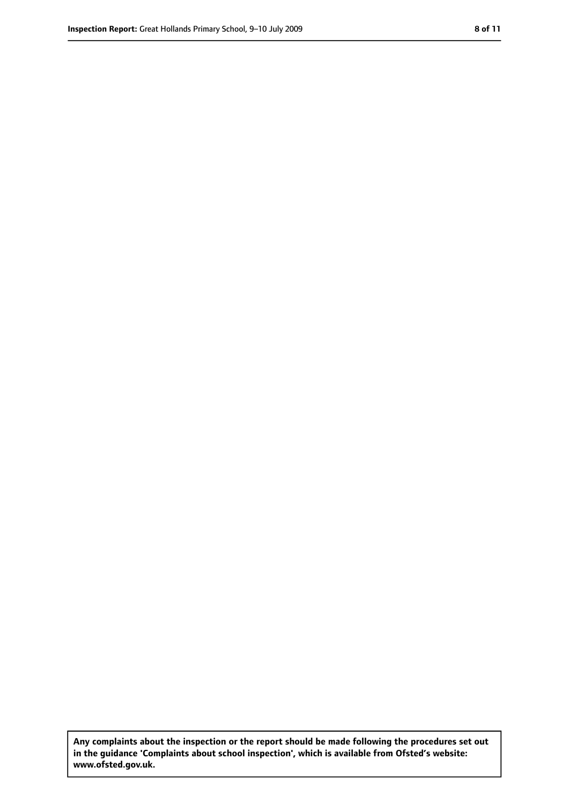**Any complaints about the inspection or the report should be made following the procedures set out in the guidance 'Complaints about school inspection', which is available from Ofsted's website: www.ofsted.gov.uk.**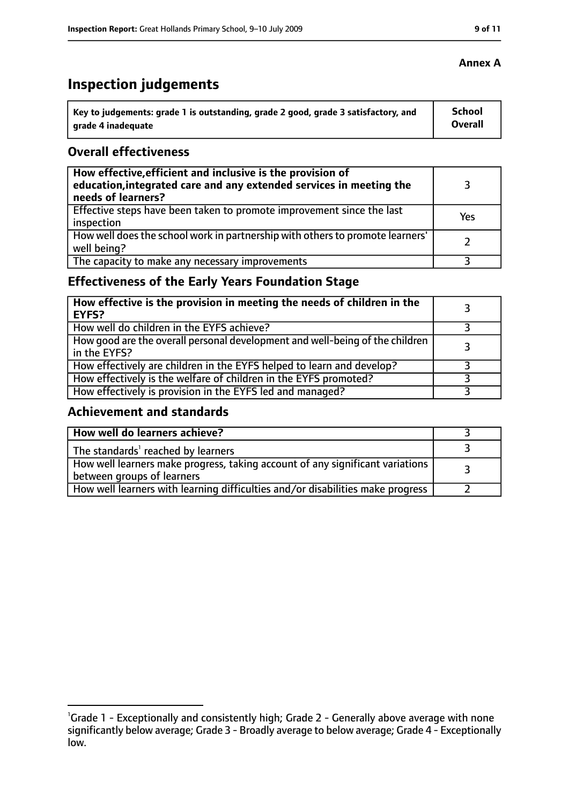# **Inspection judgements**

| $^{\backprime}$ Key to judgements: grade 1 is outstanding, grade 2 good, grade 3 satisfactory, and | School  |
|----------------------------------------------------------------------------------------------------|---------|
| arade 4 inadequate                                                                                 | Overall |

#### **Overall effectiveness**

| How effective, efficient and inclusive is the provision of<br>education, integrated care and any extended services in meeting the<br>needs of learners? |     |
|---------------------------------------------------------------------------------------------------------------------------------------------------------|-----|
| Effective steps have been taken to promote improvement since the last<br>inspection                                                                     | Yes |
| How well does the school work in partnership with others to promote learners'<br>well being?                                                            |     |
| The capacity to make any necessary improvements                                                                                                         |     |

## **Effectiveness of the Early Years Foundation Stage**

| How effective is the provision in meeting the needs of children in the<br><b>EYFS?</b>       |  |
|----------------------------------------------------------------------------------------------|--|
| How well do children in the EYFS achieve?                                                    |  |
| How good are the overall personal development and well-being of the children<br>in the EYFS? |  |
| How effectively are children in the EYFS helped to learn and develop?                        |  |
| How effectively is the welfare of children in the EYFS promoted?                             |  |
| How effectively is provision in the EYFS led and managed?                                    |  |

#### **Achievement and standards**

| How well do learners achieve?                                                                               |  |
|-------------------------------------------------------------------------------------------------------------|--|
| The standards <sup>1</sup> reached by learners                                                              |  |
| How well learners make progress, taking account of any significant variations<br>between groups of learners |  |
| How well learners with learning difficulties and/or disabilities make progress                              |  |

#### **Annex A**

<sup>&</sup>lt;sup>1</sup>Grade 1 - Exceptionally and consistently high; Grade 2 - Generally above average with none significantly below average; Grade 3 - Broadly average to below average; Grade 4 - Exceptionally low.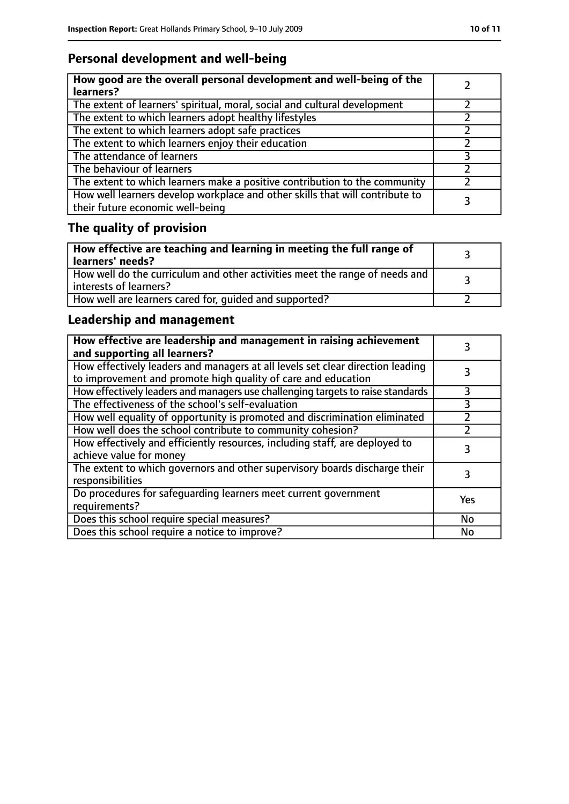## **Personal development and well-being**

| How good are the overall personal development and well-being of the<br>learners?                                 |  |
|------------------------------------------------------------------------------------------------------------------|--|
| The extent of learners' spiritual, moral, social and cultural development                                        |  |
| The extent to which learners adopt healthy lifestyles                                                            |  |
| The extent to which learners adopt safe practices                                                                |  |
| The extent to which learners enjoy their education                                                               |  |
| The attendance of learners                                                                                       |  |
| The behaviour of learners                                                                                        |  |
| The extent to which learners make a positive contribution to the community                                       |  |
| How well learners develop workplace and other skills that will contribute to<br>their future economic well-being |  |

# **The quality of provision**

| $\vert$ How effective are teaching and learning in meeting the full range of<br>  learners' needs?      |  |
|---------------------------------------------------------------------------------------------------------|--|
| How well do the curriculum and other activities meet the range of needs and<br>  interests of learners? |  |
| How well are learners cared for, quided and supported?                                                  |  |

## **Leadership and management**

| How effective are leadership and management in raising achievement<br>and supporting all learners?                                              |     |
|-------------------------------------------------------------------------------------------------------------------------------------------------|-----|
| How effectively leaders and managers at all levels set clear direction leading<br>to improvement and promote high quality of care and education |     |
| How effectively leaders and managers use challenging targets to raise standards                                                                 |     |
| The effectiveness of the school's self-evaluation                                                                                               | 3   |
| How well equality of opportunity is promoted and discrimination eliminated                                                                      |     |
| How well does the school contribute to community cohesion?                                                                                      |     |
| How effectively and efficiently resources, including staff, are deployed to<br>achieve value for money                                          | 3   |
| The extent to which governors and other supervisory boards discharge their<br>responsibilities                                                  |     |
| Do procedures for safequarding learners meet current government<br>requirements?                                                                | Yes |
| Does this school require special measures?                                                                                                      | No  |
| Does this school require a notice to improve?                                                                                                   | No  |